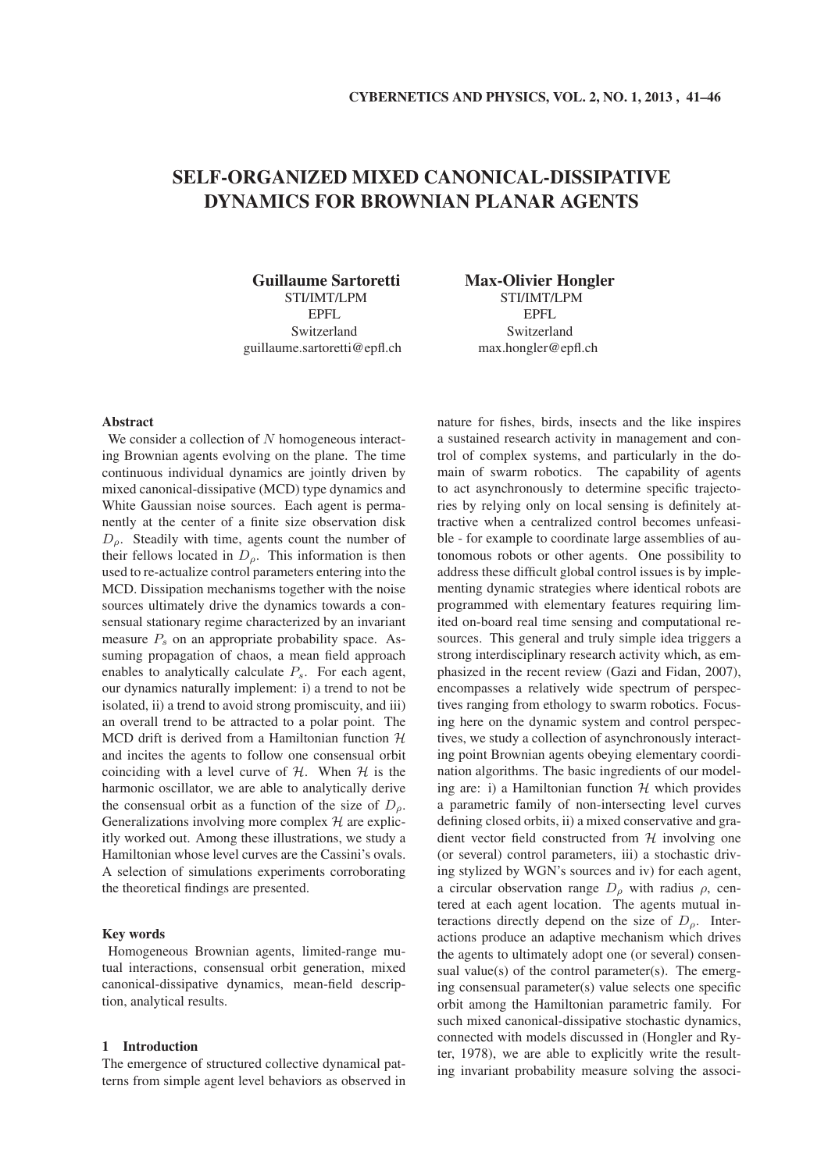# SELF-ORGANIZED MIXED CANONICAL-DISSIPATIVE DYNAMICS FOR BROWNIAN PLANAR AGENTS

Guillaume Sartoretti STI/IMT/LPM EPFL Switzerland guillaume.sartoretti@epfl.ch Max-Olivier Hongler STI/IMT/LPM EPFL Switzerland max.hongler@epfl.ch

# Abstract

We consider a collection of N homogeneous interacting Brownian agents evolving on the plane. The time continuous individual dynamics are jointly driven by mixed canonical-dissipative (MCD) type dynamics and White Gaussian noise sources. Each agent is permanently at the center of a finite size observation disk  $D_{\rho}$ . Steadily with time, agents count the number of their fellows located in  $D_{\rho}$ . This information is then used to re-actualize control parameters entering into the MCD. Dissipation mechanisms together with the noise sources ultimately drive the dynamics towards a consensual stationary regime characterized by an invariant measure  $P_s$  on an appropriate probability space. Assuming propagation of chaos, a mean field approach enables to analytically calculate  $P_s$ . For each agent, our dynamics naturally implement: i) a trend to not be isolated, ii) a trend to avoid strong promiscuity, and iii) an overall trend to be attracted to a polar point. The MCD drift is derived from a Hamiltonian function  $H$ and incites the agents to follow one consensual orbit coinciding with a level curve of  $H$ . When  $H$  is the harmonic oscillator, we are able to analytically derive the consensual orbit as a function of the size of  $D<sub>o</sub>$ . Generalizations involving more complex  $H$  are explicitly worked out. Among these illustrations, we study a Hamiltonian whose level curves are the Cassini's ovals. A selection of simulations experiments corroborating the theoretical findings are presented.

# Key words

Homogeneous Brownian agents, limited-range mutual interactions, consensual orbit generation, mixed canonical-dissipative dynamics, mean-field description, analytical results.

## 1 Introduction

The emergence of structured collective dynamical patterns from simple agent level behaviors as observed in nature for fishes, birds, insects and the like inspires a sustained research activity in management and control of complex systems, and particularly in the domain of swarm robotics. The capability of agents to act asynchronously to determine specific trajectories by relying only on local sensing is definitely attractive when a centralized control becomes unfeasible - for example to coordinate large assemblies of autonomous robots or other agents. One possibility to address these difficult global control issues is by implementing dynamic strategies where identical robots are programmed with elementary features requiring limited on-board real time sensing and computational resources. This general and truly simple idea triggers a strong interdisciplinary research activity which, as emphasized in the recent review (Gazi and Fidan, 2007), encompasses a relatively wide spectrum of perspectives ranging from ethology to swarm robotics. Focusing here on the dynamic system and control perspectives, we study a collection of asynchronously interacting point Brownian agents obeying elementary coordination algorithms. The basic ingredients of our modeling are: i) a Hamiltonian function  $H$  which provides a parametric family of non-intersecting level curves defining closed orbits, ii) a mixed conservative and gradient vector field constructed from  $H$  involving one (or several) control parameters, iii) a stochastic driving stylized by WGN's sources and iv) for each agent, a circular observation range  $D_{\rho}$  with radius  $\rho$ , centered at each agent location. The agents mutual interactions directly depend on the size of  $D<sub>o</sub>$ . Interactions produce an adaptive mechanism which drives the agents to ultimately adopt one (or several) consensual value(s) of the control parameter(s). The emerging consensual parameter(s) value selects one specific orbit among the Hamiltonian parametric family. For such mixed canonical-dissipative stochastic dynamics, connected with models discussed in (Hongler and Ryter, 1978), we are able to explicitly write the resulting invariant probability measure solving the associ-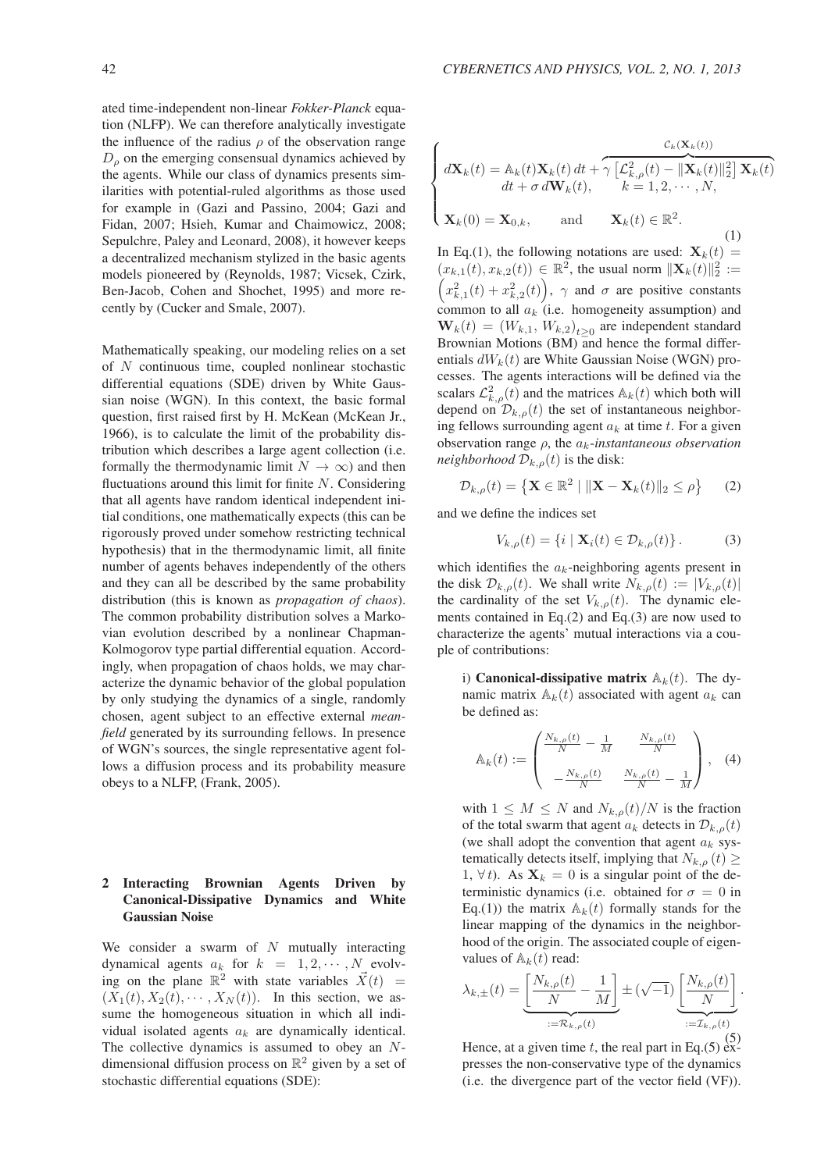ated time-independent non-linear *Fokker-Planck* equation (NLFP). We can therefore analytically investigate the influence of the radius  $\rho$  of the observation range  $D<sub>\rho</sub>$  on the emerging consensual dynamics achieved by the agents. While our class of dynamics presents similarities with potential-ruled algorithms as those used for example in (Gazi and Passino, 2004; Gazi and Fidan, 2007; Hsieh, Kumar and Chaimowicz, 2008; Sepulchre, Paley and Leonard, 2008), it however keeps a decentralized mechanism stylized in the basic agents models pioneered by (Reynolds, 1987; Vicsek, Czirk, Ben-Jacob, Cohen and Shochet, 1995) and more recently by (Cucker and Smale, 2007).

Mathematically speaking, our modeling relies on a set of N continuous time, coupled nonlinear stochastic differential equations (SDE) driven by White Gaussian noise (WGN). In this context, the basic formal question, first raised first by H. McKean (McKean Jr., 1966), is to calculate the limit of the probability distribution which describes a large agent collection (i.e. formally the thermodynamic limit  $N \to \infty$ ) and then fluctuations around this limit for finite  $N$ . Considering that all agents have random identical independent initial conditions, one mathematically expects (this can be rigorously proved under somehow restricting technical hypothesis) that in the thermodynamic limit, all finite number of agents behaves independently of the others and they can all be described by the same probability distribution (this is known as *propagation of chaos*). The common probability distribution solves a Markovian evolution described by a nonlinear Chapman-Kolmogorov type partial differential equation. Accordingly, when propagation of chaos holds, we may characterize the dynamic behavior of the global population by only studying the dynamics of a single, randomly chosen, agent subject to an effective external *meanfield* generated by its surrounding fellows. In presence of WGN's sources, the single representative agent follows a diffusion process and its probability measure obeys to a NLFP, (Frank, 2005).

# 2 Interacting Brownian Agents Driven by Canonical-Dissipative Dynamics and White Gaussian Noise

We consider a swarm of  $N$  mutually interacting dynamical agents  $a_k$  for  $k = 1, 2, \cdots, N$  evolving on the plane  $\mathbb{R}^2$  with state variables  $\vec{X}(t) =$  $(X_1(t), X_2(t), \cdots, X_N(t))$ . In this section, we assume the homogeneous situation in which all individual isolated agents  $a_k$  are dynamically identical. The collective dynamics is assumed to obey an Ndimensional diffusion process on  $\mathbb{R}^2$  given by a set of stochastic differential equations (SDE):

$$
\begin{cases}\n\mathbf{d}\mathbf{X}_k(t) = \mathbb{A}_k(t)\mathbf{X}_k(t) dt + \gamma \left[\mathcal{L}_{k,\rho}^2(t) - \|\mathbf{X}_k(t)\|_2^2\right] \mathbf{X}_k(t) \\
dt + \sigma d\mathbf{W}_k(t), \qquad k = 1, 2, \cdots, N, \\
\mathbf{X}_k(0) = \mathbf{X}_{0,k}, \qquad \text{and} \qquad \mathbf{X}_k(t) \in \mathbb{R}^2.\n\end{cases}
$$
\n(1)

In Eq.(1), the following notations are used:  $\mathbf{X}_k(t) =$  $(x_{k,1}(t), x_{k,2}(t)) \in \mathbb{R}^2$ , the usual norm  $||\mathbf{X}_k(t)||_2^2 :=$  $(x_{k,1}^2(t) + x_{k,2}^2(t))$ ,  $\gamma$  and  $\sigma$  are positive constants common to all  $a_k$  (i.e. homogeneity assumption) and  $\mathbf{W}_k(t) = (W_{k,1}, W_{k,2})_{t \geq 0}$  are independent standard Brownian Motions (BM) and hence the formal differentials  $dW_k(t)$  are White Gaussian Noise (WGN) processes. The agents interactions will be defined via the scalars  $\mathcal{L}_{k,\rho}(t)$  and the matrices  $\mathbb{A}_k(t)$  which both will depend on  $\mathcal{D}_{k,\rho}(t)$  the set of instantaneous neighboring fellows surrounding agent  $a_k$  at time t. For a given observation range ρ, the ak-*instantaneous observation neighborhood*  $\mathcal{D}_{k,\rho}(t)$  is the disk:

$$
\mathcal{D}_{k,\rho}(t) = \left\{ \mathbf{X} \in \mathbb{R}^2 \mid \|\mathbf{X} - \mathbf{X}_k(t)\|_2 \le \rho \right\} \qquad (2)
$$

and we define the indices set

$$
V_{k,\rho}(t) = \{i \mid \mathbf{X}_i(t) \in \mathcal{D}_{k,\rho}(t)\}.
$$
 (3)

which identifies the  $a_k$ -neighboring agents present in the disk  $\mathcal{D}_{k,\rho}(t)$ . We shall write  $N_{k,\rho}(t) := |V_{k,\rho}(t)|$ the cardinality of the set  $V_{k,\rho}(t)$ . The dynamic elements contained in Eq.(2) and Eq.(3) are now used to characterize the agents' mutual interactions via a couple of contributions:

i) Canonical-dissipative matrix  $A_k(t)$ . The dynamic matrix  $A_k(t)$  associated with agent  $a_k$  can be defined as:

$$
\mathbb{A}_{k}(t) := \begin{pmatrix} \frac{N_{k,\rho}(t)}{N} - \frac{1}{M} & \frac{N_{k,\rho}(t)}{N} \\ -\frac{N_{k,\rho}(t)}{N} & \frac{N_{k,\rho}(t)}{N} - \frac{1}{M} \end{pmatrix}, \quad (4)
$$

with  $1 \leq M \leq N$  and  $N_{k,\rho}(t)/N$  is the fraction of the total swarm that agent  $a_k$  detects in  $\mathcal{D}_{k,\rho}(t)$ (we shall adopt the convention that agent  $a_k$  systematically detects itself, implying that  $N_{k,\rho}(t) \geq$ 1,  $\forall t$ ). As  $\mathbf{X}_k = 0$  is a singular point of the deterministic dynamics (i.e. obtained for  $\sigma = 0$  in Eq.(1)) the matrix  $\mathbb{A}_k(t)$  formally stands for the linear mapping of the dynamics in the neighborhood of the origin. The associated couple of eigenvalues of  $\mathbb{A}_k(t)$  read:

$$
\lambda_{k,\pm}(t) = \underbrace{\left[\frac{N_{k,\rho}(t)}{N} - \frac{1}{M}\right]}_{:=\mathcal{R}_{k,\rho}(t)} \pm (\sqrt{-1}) \underbrace{\left[\frac{N_{k,\rho}(t)}{N}\right]}_{:=\mathcal{I}_{k,\rho}(t)}.
$$

Hence, at a given time t, the real part in Eq.(5)  $\frac{(5)}{ex}$ presses the non-conservative type of the dynamics (i.e. the divergence part of the vector field (VF)).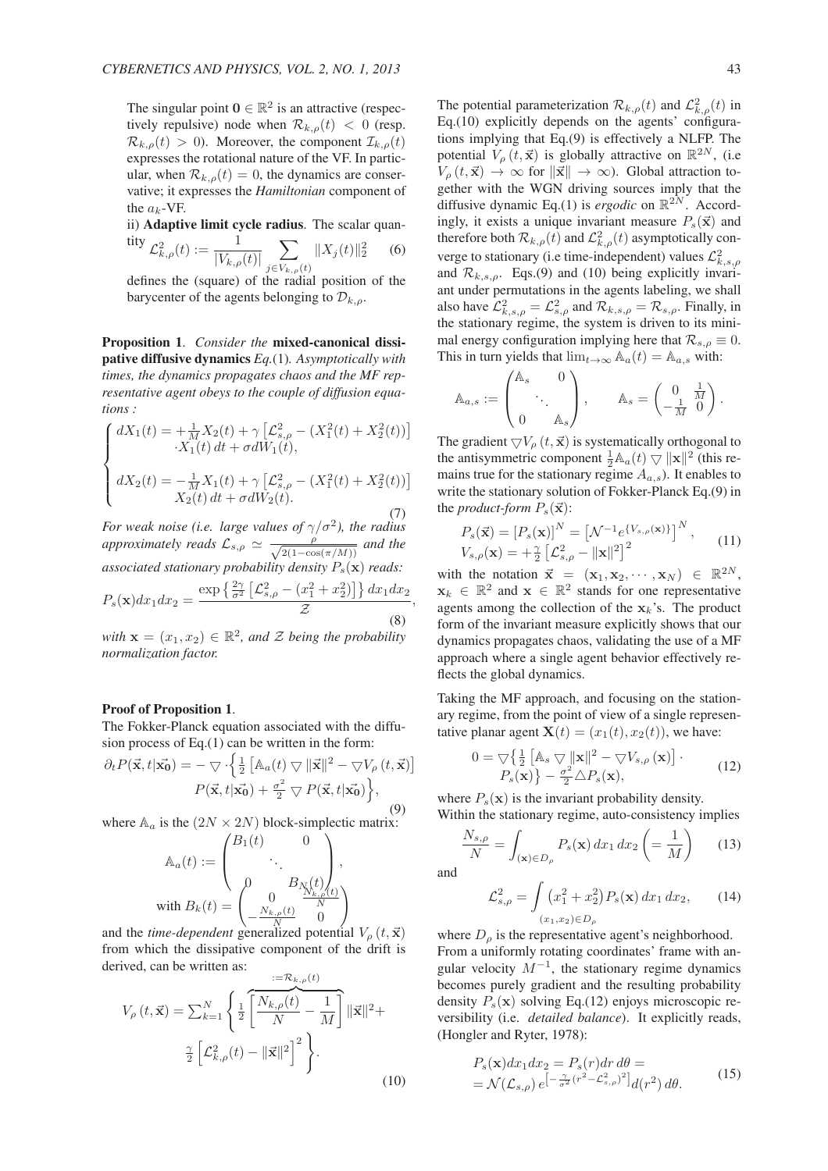The singular point  $\mathbf{0} \in \mathbb{R}^2$  is an attractive (respectively repulsive) node when  $\mathcal{R}_{k,\rho}(t) < 0$  (resp.  $\mathcal{R}_{k,\rho}(t) > 0$ ). Moreover, the component  $\mathcal{I}_{k,\rho}(t)$ expresses the rotational nature of the VF. In particular, when  $\mathcal{R}_{k,\rho}(t) = 0$ , the dynamics are conservative; it expresses the *Hamiltonian* component of the  $a_k$ -VF.

ii) Adaptive limit cycle radius. The scalar quan-

$$
\begin{aligned} \n\text{tity } \mathcal{L}_{k,\rho}^2(t) &:= \frac{1}{|V_{k,\rho}(t)|} \sum_{j \in V_{k,\rho}(t)} \|X_j(t)\|_2^2 \qquad (6) \\ \n\text{defines the (square) of the radial position of the} \n\end{aligned}
$$

barycenter of the agents belonging to  $\mathcal{D}_{k,o}$ .

Proposition 1. *Consider the* mixed-canonical dissipative diffusive dynamics *Eq.*(1)*. Asymptotically with times, the dynamics propagates chaos and the MF representative agent obeys to the couple of diffusion equations :*

$$
\begin{cases}\n dX_1(t) = +\frac{1}{M} X_2(t) + \gamma \left[ \mathcal{L}_{s,\rho}^2 - (X_1^2(t) + X_2^2(t)) \right] \\
 -X_1(t) dt + \sigma dW_1(t), \\
 dX_2(t) = -\frac{1}{M} X_1(t) + \gamma \left[ \mathcal{L}_2^2 - (X_2^2(t) + X_2^2(t)) \right]\n\end{cases}
$$

$$
\begin{cases} dX_2(t) = -\frac{1}{M}X_1(t) + \gamma \left[ \mathcal{L}_{s,\rho}^2 - (X_1^2(t) + X_2^2(t)) \right] \\ X_2(t) dt + \sigma dW_2(t). \end{cases}
$$
(7)

*For weak noise (i.e. large values of*  $\gamma/\sigma^2$ ), the radius *approximately reads*  $\mathcal{L}_{s,\rho} \simeq \frac{\rho}{\sqrt{2(1-\cos\theta)}}$  $\frac{\rho}{2(1-\cos(\pi/M))}$  and the *associated stationary probability density*  $P_s(\mathbf{x})$  *reads:*  $P_s(\mathbf{x})dx_1dx_2 = \frac{\exp\left\{\frac{2\gamma}{\sigma^2}\left[\mathcal{L}_{s,\rho}^2 - (x_1^2 + x_2^2)\right]\right\}dx_1dx_2}{\sigma^2}$ Z (8)

*with*  $\mathbf{x} = (x_1, x_2) \in \mathbb{R}^2$ , and  $\mathcal Z$  *being the probability normalization factor.*

## Proof of Proposition 1.

The Fokker-Planck equation associated with the diffusion process of Eq.(1) can be written in the form:

$$
\partial_t P(\vec{\mathbf{x}}, t | \vec{\mathbf{x}_0}) = -\nabla \cdot \left\{ \frac{1}{2} \left[ \mathbb{A}_a(t) \nabla ||\vec{\mathbf{x}}||^2 - \nabla V_\rho(t, \vec{\mathbf{x}}) \right] \right\}
$$

$$
P(\vec{\mathbf{x}}, t | \vec{\mathbf{x}_0}) + \frac{\sigma^2}{2} \nabla P(\vec{\mathbf{x}}, t | \vec{\mathbf{x}_0}) \right\},\tag{9}
$$

where  $\mathbb{A}_a$  is the  $(2N \times 2N)$  block-simplectic matrix:

$$
\mathbb{A}_a(t) := \begin{pmatrix} B_1(t) & 0 \\ \ddots & \vdots \\ 0 & B_{N_{k,\rho}(t)} \\ \frac{0}{N_{k,\rho}(t)} & \frac{0}{N} \end{pmatrix},
$$
  
with  $B_k(t) = \begin{pmatrix} 0 & \frac{N_{k,\rho}(t)}{N} \\ -\frac{N_{k,\rho}(t)}{N} & 0 \end{pmatrix}$ 

and the *time-dependent* generalized potential  $V_{\rho}(t, \vec{x})$ from which the dissipative component of the drift is derived, can be written as:  $:-\mathcal{D}$ ,  $(1)$ 

$$
V_{\rho}(t,\vec{\mathbf{x}}) = \sum_{k=1}^{N} \left\{ \frac{1}{2} \left[ \frac{N_{k,\rho}(t)}{N} - \frac{1}{M} \right] ||\vec{\mathbf{x}}||^{2} + \frac{\gamma}{2} \left[ \mathcal{L}_{k,\rho}^{2}(t) - ||\vec{\mathbf{x}}||^{2} \right]^{2} \right\}.
$$
\n(10)

The potential parameterization  $\mathcal{R}_{k,\rho}(t)$  and  $\mathcal{L}_{k,\rho}^2(t)$  in Eq.(10) explicitly depends on the agents' configurations implying that Eq.(9) is effectively a NLFP. The potential  $V_{\rho}(t, \vec{x})$  is globally attractive on  $\mathbb{R}^{2N}$ , (i.e.  $V_{\rho}(t, \vec{x}) \rightarrow \infty$  for  $\|\vec{x}\| \rightarrow \infty$ ). Global attraction together with the WGN driving sources imply that the diffusive dynamic Eq.(1) is *ergodic* on  $\mathbb{R}^{2N}$ . Accordingly, it exists a unique invariant measure  $P_s(\vec{x})$  and therefore both  $\mathcal{R}_{k,\rho}(t)$  and  $\mathcal{L}_{k,\rho}^2(t)$  asymptotically converge to stationary (i.e time-independent) values  $\mathcal{L}^2_{k,s,\rho}$ and  $\mathcal{R}_{k,s,\rho}$ . Eqs.(9) and (10) being explicitly invariant under permutations in the agents labeling, we shall also have  $\mathcal{L}^2_{k,s,\rho} = \mathcal{L}^2_{s,\rho}$  and  $\mathcal{R}_{k,s,\rho} = \mathcal{R}_{s,\rho}$ . Finally, in the stationary regime, the system is driven to its minimal energy configuration implying here that  $\mathcal{R}_{s,\rho} \equiv 0$ . This in turn yields that  $\lim_{t\to\infty} A_a(t) = A_{a,s}$  with:

$$
\mathbb{A}_{a,s} := \begin{pmatrix} \mathbb{A}_s & 0 \\ & \ddots & \\ 0 & & \mathbb{A}_s \end{pmatrix}, \qquad \mathbb{A}_s = \begin{pmatrix} 0 & \frac{1}{M} \\ -\frac{1}{M} & 0 \end{pmatrix}.
$$

The gradient  $\bigtriangledown V_{\rho}(t, \vec{x})$  is systematically orthogonal to the antisymmetric component  $\frac{1}{2}A_a(t) \nabla ||\mathbf{x}||^2$  (this remains true for the stationary regime  $A_{a,s}$ ). It enables to write the stationary solution of Fokker-Planck Eq.(9) in the *product-form*  $P_s(\vec{x})$ :

$$
P_s(\vec{\mathbf{x}}) = [P_s(\mathbf{x})]^N = [\mathcal{N}^{-1} e^{\{V_{s,\rho}(\mathbf{x})\}}]^N, \qquad (11)
$$

$$
V_{s,\rho}(\mathbf{x}) = +\frac{\gamma}{2} [\mathcal{L}_{s,\rho}^2 - ||\mathbf{x}||^2]^2
$$

with the notation  $\vec{x} = (\mathbf{x}_1, \mathbf{x}_2, \cdots, \mathbf{x}_N) \in \mathbb{R}^{2N}$ ,  $x_k \in \mathbb{R}^2$  and  $x \in \mathbb{R}^2$  stands for one representative agents among the collection of the  $x_k$ 's. The product form of the invariant measure explicitly shows that our dynamics propagates chaos, validating the use of a MF approach where a single agent behavior effectively reflects the global dynamics.

Taking the MF approach, and focusing on the stationary regime, from the point of view of a single representative planar agent  $\mathbf{X}(t) = (x_1(t), x_2(t))$ , we have:

$$
0 = \nabla \left\{ \frac{1}{2} \left[ \mathbb{A}_s \nabla \|\mathbf{x}\|^2 - \nabla V_{s,\rho}(\mathbf{x}) \right] \right. \cdot P_s(\mathbf{x}) \right\} - \frac{\sigma^2}{2} \Delta P_s(\mathbf{x}),
$$
 (12)

where  $P_s(\mathbf{x})$  is the invariant probability density. Within the stationary regime, auto-consistency implies

$$
\frac{N_{s,\rho}}{N} = \int_{(\mathbf{x}) \in D_{\rho}} P_s(\mathbf{x}) \, dx_1 \, dx_2 \left( = \frac{1}{M} \right) \tag{13}
$$

and

,

$$
\mathcal{L}_{s,\rho}^2 = \int \left( x_1^2 + x_2^2 \right) P_s(\mathbf{x}) \, dx_1 \, dx_2, \qquad (14)
$$
\n
$$
(x_1, x_2) \in D_\rho
$$

where  $D_{\rho}$  is the representative agent's neighborhood. From a uniformly rotating coordinates' frame with angular velocity  $M^{-1}$ , the stationary regime dynamics becomes purely gradient and the resulting probability density  $P_s(\mathbf{x})$  solving Eq.(12) enjoys microscopic reversibility (i.e. *detailed balance*). It explicitly reads, (Hongler and Ryter, 1978):

$$
P_s(\mathbf{x})dx_1dx_2 = P_s(r)dr d\theta =
$$
  
=  $\mathcal{N}(\mathcal{L}_{s,\rho})e^{-\frac{\gamma}{\sigma^2}(r^2 - \mathcal{L}_{s,\rho}^2)^2}d(r^2) d\theta.$  (15)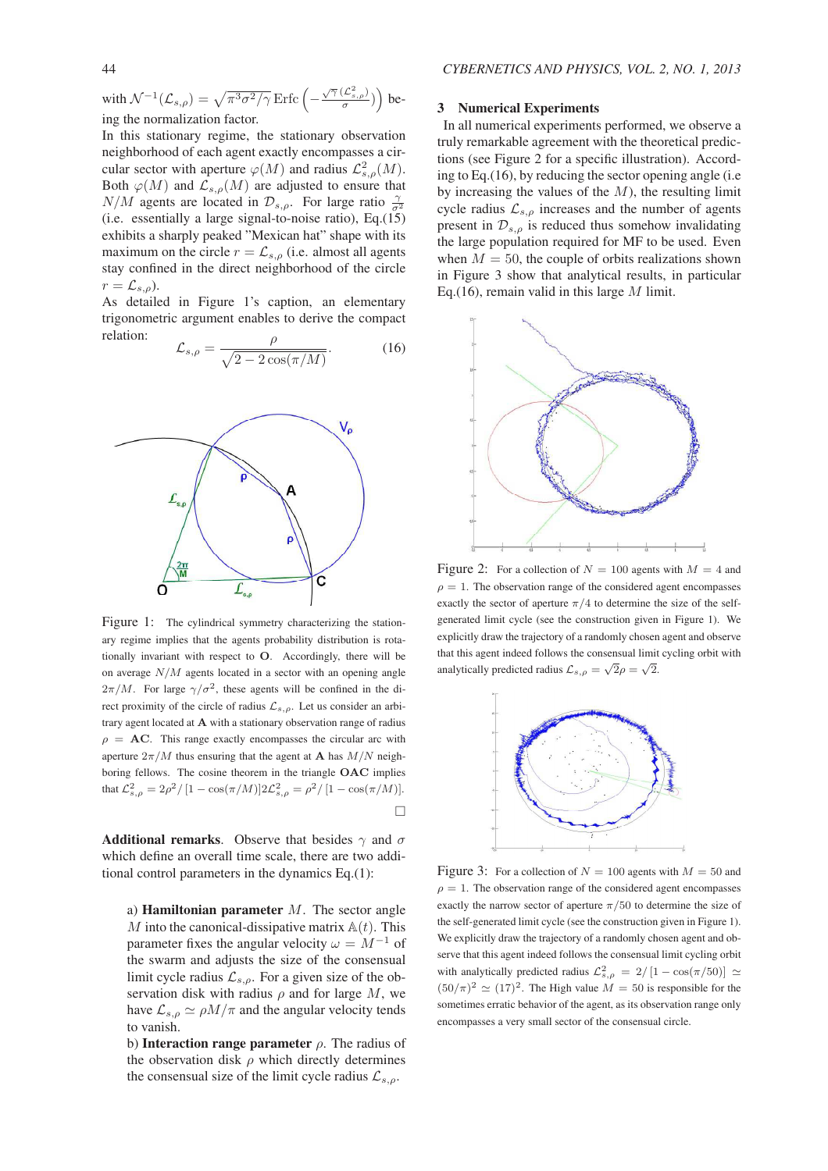with  $\mathcal{N}^{-1}(\mathcal{L}_{s,\rho}) = \sqrt{\pi^3 \sigma^2/\gamma}$  Erfc  $\left(-\frac{\sqrt{\gamma} (\mathcal{L}_{s,\rho}^2)}{\sigma}\right)$  $(\frac{\mathcal{L}_{s,\rho}^2}{\sigma})$ ) being the normalization factor.

In this stationary regime, the stationary observation neighborhood of each agent exactly encompasses a circular sector with aperture  $\varphi(M)$  and radius  $\mathcal{L}_{s,\rho}^2(M)$ . Both  $\varphi(M)$  and  $\mathcal{L}_{s,\rho}(M)$  are adjusted to ensure that  $N/M$  agents are located in  $\mathcal{D}_{s,\rho}$ . For large ratio  $\frac{\gamma}{\sigma^2}$ (i.e. essentially a large signal-to-noise ratio), Eq.(15) exhibits a sharply peaked "Mexican hat" shape with its maximum on the circle  $r = \mathcal{L}_{s,o}$  (i.e. almost all agents stay confined in the direct neighborhood of the circle  $r = \mathcal{L}_{s,\rho}$ ).

As detailed in Figure 1's caption, an elementary trigonometric argument enables to derive the compact relation: ρ

$$
\mathcal{L}_{s,\rho} = \frac{\rho}{\sqrt{2 - 2\cos(\pi/M)}}.\tag{16}
$$



Figure 1: The cylindrical symmetry characterizing the stationary regime implies that the agents probability distribution is rotationally invariant with respect to O. Accordingly, there will be on average  $N/M$  agents located in a sector with an opening angle  $2\pi/M$ . For large  $\gamma/\sigma^2$ , these agents will be confined in the direct proximity of the circle of radius  $\mathcal{L}_{s,\rho}$ . Let us consider an arbitrary agent located at A with a stationary observation range of radius  $\rho = AC$ . This range exactly encompasses the circular arc with aperture  $2\pi/M$  thus ensuring that the agent at **A** has  $M/N$  neighboring fellows. The cosine theorem in the triangle OAC implies that  $\mathcal{L}_{s,\rho}^2 = 2\rho^2 / [1 - \cos(\pi/M)] 2 \mathcal{L}_{s,\rho}^2 = \rho^2 / [1 - \cos(\pi/M)].$  $\Box$ 

**Additional remarks.** Observe that besides  $\gamma$  and  $\sigma$ which define an overall time scale, there are two additional control parameters in the dynamics Eq.(1):

a) **Hamiltonian parameter**  $M$ . The sector angle M into the canonical-dissipative matrix  $A(t)$ . This parameter fixes the angular velocity  $\omega = M^{-1}$  of the swarm and adjusts the size of the consensual limit cycle radius  $\mathcal{L}_{s,\rho}$ . For a given size of the observation disk with radius  $\rho$  and for large M, we have  $\mathcal{L}_{s,\rho} \simeq \rho M/\pi$  and the angular velocity tends to vanish.

b) Interaction range parameter  $\rho$ . The radius of the observation disk  $\rho$  which directly determines the consensual size of the limit cycle radius  $\mathcal{L}_{s,o}$ .

#### 3 Numerical Experiments

In all numerical experiments performed, we observe a truly remarkable agreement with the theoretical predictions (see Figure 2 for a specific illustration). According to Eq.(16), by reducing the sector opening angle (i.e by increasing the values of the  $M$ ), the resulting limit cycle radius  $\mathcal{L}_{s,o}$  increases and the number of agents present in  $\mathcal{D}_{s,o}$  is reduced thus somehow invalidating the large population required for MF to be used. Even when  $M = 50$ , the couple of orbits realizations shown in Figure 3 show that analytical results, in particular Eq.(16), remain valid in this large  $M$  limit.



Figure 2: For a collection of  $N = 100$  agents with  $M = 4$  and  $\rho = 1$ . The observation range of the considered agent encompasses exactly the sector of aperture  $\pi/4$  to determine the size of the selfgenerated limit cycle (see the construction given in Figure 1). We explicitly draw the trajectory of a randomly chosen agent and observe that this agent indeed follows the consensual limit cycling orbit with analytically predicted radius  $\mathcal{L}_{s,\rho} = \sqrt{2}\rho = \sqrt{2}$ .



Figure 3: For a collection of  $N = 100$  agents with  $M = 50$  and  $\rho = 1$ . The observation range of the considered agent encompasses exactly the narrow sector of aperture  $\pi/50$  to determine the size of the self-generated limit cycle (see the construction given in Figure 1). We explicitly draw the trajectory of a randomly chosen agent and observe that this agent indeed follows the consensual limit cycling orbit with analytically predicted radius  $\mathcal{L}_{s,\rho}^2 = 2/[1 - \cos(\pi/50)] \simeq$  $(50/\pi)^2 \simeq (17)^2$ . The High value  $M = 50$  is responsible for the sometimes erratic behavior of the agent, as its observation range only encompasses a very small sector of the consensual circle.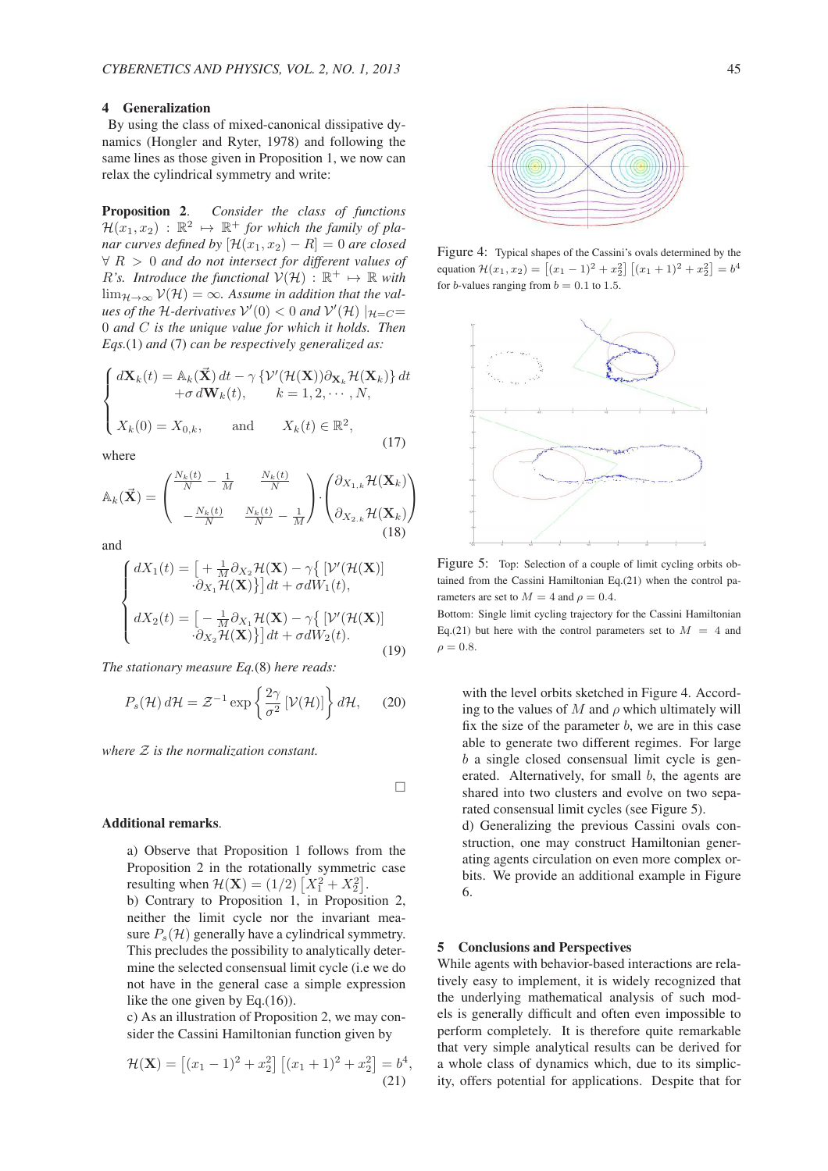# 4 Generalization

By using the class of mixed-canonical dissipative dynamics (Hongler and Ryter, 1978) and following the same lines as those given in Proposition 1, we now can relax the cylindrical symmetry and write:

Proposition 2. *Consider the class of functions*  $\mathcal{H}(x_1, x_2) : \mathbb{R}^2 \mapsto \mathbb{R}^+$  *for which the family of planar curves defined by*  $[\mathcal{H}(x_1, x_2) - R] = 0$  *are closed* ∀ R > 0 *and do not intersect for different values of*  $R$ 's. Introduce the functional  $V(\mathcal{H})$ :  $\mathbb{R}^+ \mapsto \mathbb{R}$  with  $\lim_{\mathcal{H}\to\infty}$   $\mathcal{V}(\mathcal{H}) = \infty$ . Assume in addition that the val*ues of the H-derivatives*  $V'(0) < 0$  *and*  $V'(\mathcal{H}) |_{\mathcal{H}=C}$  = 0 *and* C *is the unique value for which it holds. Then Eqs.*(1) *and* (7) *can be respectively generalized as:*

$$
\begin{cases}\n d\mathbf{X}_k(t) = \mathbb{A}_k(\vec{\mathbf{X}}) dt - \gamma \{ \mathcal{V}'(\mathcal{H}(\mathbf{X})) \partial_{\mathbf{X}_k} \mathcal{H}(\mathbf{X}_k) \} dt \\
 + \sigma d\mathbf{W}_k(t), \qquad k = 1, 2, \cdots, N, \\
 X_k(0) = X_{0,k}, \qquad \text{and} \qquad X_k(t) \in \mathbb{R}^2,\n\end{cases} \tag{17}
$$

where

$$
\mathbb{A}_{k}(\vec{\mathbf{X}}) = \begin{pmatrix} \frac{N_{k}(t)}{N} - \frac{1}{M} & \frac{N_{k}(t)}{N} \\ -\frac{N_{k}(t)}{N} & \frac{N_{k}(t)}{N} - \frac{1}{M} \end{pmatrix} \cdot \begin{pmatrix} \partial_{X_{1,k}} \mathcal{H}(\mathbf{X}_{k}) \\ \partial_{X_{2,k}} \mathcal{H}(\mathbf{X}_{k}) \end{pmatrix}
$$
\n(18)

and

$$
\begin{cases}\n dX_1(t) = \left[ \begin{array}{c} +\frac{1}{M} \partial_{X_2} \mathcal{H}(\mathbf{X}) - \gamma \left\{ \left[ \mathcal{V}'(\mathcal{H}(\mathbf{X}) \right] \right. \\
 \cdot \partial_{X_1} \mathcal{H}(\mathbf{X}) \right\} \right] dt + \sigma dW_1(t), \\
 dX_2(t) = \left[ \begin{array}{c} -\frac{1}{M} \partial_{X_1} \mathcal{H}(\mathbf{X}) - \gamma \left\{ \left[ \mathcal{V}'(\mathcal{H}(\mathbf{X}) \right] \right. \\
 \cdot \partial_{X_2} \mathcal{H}(\mathbf{X}) \right\} \right] dt + \sigma dW_2(t).\n \end{array}\n \end{cases} \tag{19}
$$

*The stationary measure Eq.*(8) *here reads:*

$$
P_s(\mathcal{H}) d\mathcal{H} = \mathcal{Z}^{-1} \exp\left\{\frac{2\gamma}{\sigma^2} \left[\mathcal{V}(\mathcal{H})\right]\right\} d\mathcal{H},\qquad(20)
$$

*where* Z *is the normalization constant.*

 $\Box$ 

#### Additional remarks.

a) Observe that Proposition 1 follows from the Proposition 2 in the rotationally symmetric case resulting when  $\mathcal{H}(\mathbf{X}) = (1/2) [X_1^2 + X_2^2]$ .

b) Contrary to Proposition 1, in Proposition 2, neither the limit cycle nor the invariant measure  $P_s(\mathcal{H})$  generally have a cylindrical symmetry. This precludes the possibility to analytically determine the selected consensual limit cycle (i.e we do not have in the general case a simple expression like the one given by Eq.(16)).

c) As an illustration of Proposition 2, we may consider the Cassini Hamiltonian function given by

$$
\mathcal{H}(\mathbf{X}) = \left[ (x_1 - 1)^2 + x_2^2 \right] \left[ (x_1 + 1)^2 + x_2^2 \right] = b^4,
$$
\n(21)



Figure 4: Typical shapes of the Cassini's ovals determined by the equation  $\mathcal{H}(x_1, x_2) = [(x_1 - 1)^2 + x_2^2] [(x_1 + 1)^2 + x_2^2] = b^4$ for *b*-values ranging from  $b = 0.1$  to 1.5.



Figure 5: Top: Selection of a couple of limit cycling orbits obtained from the Cassini Hamiltonian Eq.(21) when the control parameters are set to  $M = 4$  and  $\rho = 0.4$ .

Bottom: Single limit cycling trajectory for the Cassini Hamiltonian Eq.(21) but here with the control parameters set to  $M = 4$  and  $\rho = 0.8$ .

with the level orbits sketched in Figure 4. According to the values of M and  $\rho$  which ultimately will fix the size of the parameter  $b$ , we are in this case able to generate two different regimes. For large b a single closed consensual limit cycle is generated. Alternatively, for small b, the agents are shared into two clusters and evolve on two separated consensual limit cycles (see Figure 5).

d) Generalizing the previous Cassini ovals construction, one may construct Hamiltonian generating agents circulation on even more complex orbits. We provide an additional example in Figure 6.

#### 5 Conclusions and Perspectives

While agents with behavior-based interactions are relatively easy to implement, it is widely recognized that the underlying mathematical analysis of such models is generally difficult and often even impossible to perform completely. It is therefore quite remarkable that very simple analytical results can be derived for a whole class of dynamics which, due to its simplicity, offers potential for applications. Despite that for